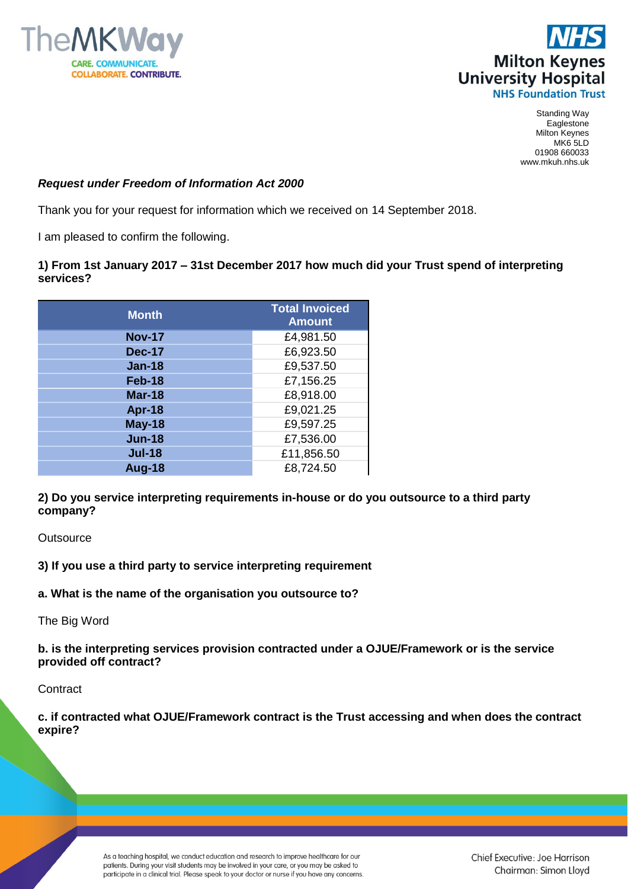



Standing Way Eaglestone Milton Keynes MK6 5LD 01908 660033 www.mkuh.nhs.uk

## *Request under Freedom of Information Act 2000*

Thank you for your request for information which we received on 14 September 2018.

I am pleased to confirm the following.

## **1) From 1st January 2017 – 31st December 2017 how much did your Trust spend of interpreting services?**

| <b>Month</b>  | <b>Total Invoiced</b><br><b>Amount</b> |
|---------------|----------------------------------------|
| <b>Nov-17</b> | £4,981.50                              |
| <b>Dec-17</b> | £6,923.50                              |
| <b>Jan-18</b> | £9,537.50                              |
| Feb-18        | £7,156.25                              |
| <b>Mar-18</b> | £8,918.00                              |
| Apr-18        | £9,021.25                              |
| <b>May-18</b> | £9,597.25                              |
| <b>Jun-18</b> | £7,536.00                              |
| <b>Jul-18</b> | £11,856.50                             |
| <b>Aug-18</b> | £8,724.50                              |

**2) Do you service interpreting requirements in-house or do you outsource to a third party company?** 

**Outsource** 

**3) If you use a third party to service interpreting requirement**

**a. What is the name of the organisation you outsource to?**

The Big Word

**b. is the interpreting services provision contracted under a OJUE/Framework or is the service provided off contract?**

**Contract** 

**c. if contracted what OJUE/Framework contract is the Trust accessing and when does the contract expire?**

> As a teaching hospital, we conduct education and research to improve healthcare for our patients. During your visit students may be involved in your care, or you may be asked to participate in a clinical trial. Please speak to your doctor or nurse if you have any concerns.